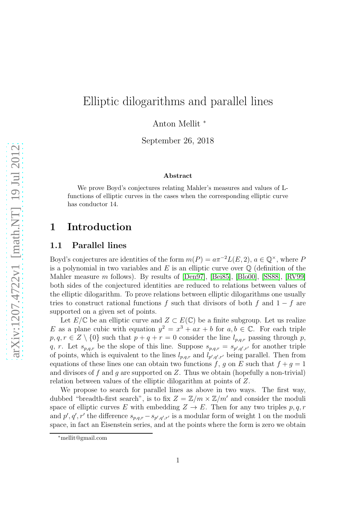# Elliptic dilogarithms and parallel lines

Anton Mellit <sup>∗</sup>

September 26, 2018

#### Abstract

We prove Boyd's conjectures relating Mahler's measures and values of Lfunctions of elliptic curves in the cases when the corresponding elliptic curve has conductor 14.

# 1 Introduction

## 1.1 Parallel lines

Boyd's conjectures are identities of the form  $m(P) = a\pi^{-2}L(E, 2)$ ,  $a \in \mathbb{Q}^{\times}$ , where P is a polynomial in two variables and  $E$  is an elliptic curve over  $\mathbb Q$  (definition of the Mahler measure m follows). By results of [\[Den97\]](#page-21-0), [\[Bei85\]](#page-21-1), [\[Blo00\]](#page-21-2), [\[SS88\]](#page-22-0), [\[RV99\]](#page-22-1) both sides of the conjectured identities are reduced to relations between values of the elliptic dilogarithm. To prove relations between elliptic dilogarithms one usually tries to construct rational functions f such that divisors of both f and  $1 - f$  are supported on a given set of points.

Let  $E/\mathbb{C}$  be an elliptic curve and  $Z \subset E(\mathbb{C})$  be a finite subgroup. Let us realize E as a plane cubic with equation  $y^2 = x^3 + ax + b$  for  $a, b \in \mathbb{C}$ . For each triple  $p, q, r \in Z \setminus \{0\}$  such that  $p + q + r = 0$  consider the line  $l_{p,q,r}$  passing through p, q, r. Let  $s_{p,q,r}$  be the slope of this line. Suppose  $s_{p,q,r} = s_{p',q',r'}$  for another triple of points, which is equivalent to the lines  $l_{p,q,r}$  and  $l_{p',q',r'}$  being parallel. Then from equations of these lines one can obtain two functions f, g on E such that  $f + g = 1$ and divisors of f and q are supported on  $Z$ . Thus we obtain (hopefully a non-trivial) relation between values of the elliptic dilogarithm at points of Z.

We propose to search for parallel lines as above in two ways. The first way, dubbed "breadth-first search", is to fix  $Z = \mathbb{Z}/m \times \mathbb{Z}/m'$  and consider the moduli space of elliptic curves E with embedding  $Z \to E$ . Then for any two triples p, q, r and  $p', q', r'$  the difference  $s_{p,q,r} - s_{p',q',r'}$  is a modular form of weight 1 on the moduli space, in fact an Eisenstein series, and at the points where the form is zero we obtain

<sup>∗</sup>mellit@gmail.com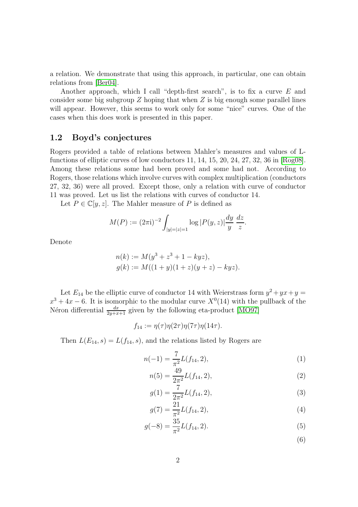a relation. We demonstrate that using this approach, in particular, one can obtain relations from [\[Ber04\]](#page-21-3).

Another approach, which I call "depth-first search", is to fix a curve  $E$  and consider some big subgroup  $Z$  hoping that when  $Z$  is big enough some parallel lines will appear. However, this seems to work only for some "nice" curves. One of the cases when this does work is presented in this paper.

## 1.2 Boyd's conjectures

Rogers provided a table of relations between Mahler's measures and values of Lfunctions of elliptic curves of low conductors 11, 14, 15, 20, 24, 27, 32, 36 in [\[Rog08\]](#page-22-2). Among these relations some had been proved and some had not. According to Rogers, those relations which involve curves with complex multiplication (conductors 27, 32, 36) were all proved. Except those, only a relation with curve of conductor 11 was proved. Let us list the relations with curves of conductor 14.

Let  $P \in \mathbb{C}[y, z]$ . The Mahler measure of P is defined as

$$
M(P) := (2\pi i)^{-2} \int_{|y|=|z|=1} \log |P(y,z)| \frac{dy}{y} \frac{dz}{z}.
$$

Denote

$$
n(k) := M(y^3 + z^3 + 1 - kyz),
$$
  
\n
$$
g(k) := M((1 + y)(1 + z)(y + z) - kyz).
$$

Let  $E_{14}$  be the elliptic curve of conductor 14 with Weierstrass form  $y^2 + yx + y =$  $x^3 + 4x - 6$ . It is isomorphic to the modular curve  $X^0(14)$  with the pullback of the Néron differential  $\frac{dx}{2y+x+1}$  given by the following eta-product [\[MO97\]](#page-22-3)

$$
f_{14} := \eta(\tau)\eta(2\tau)\eta(7\tau)\eta(14\tau).
$$

Then  $L(E_{14}, s) = L(f_{14}, s)$ , and the relations listed by Rogers are

$$
n(-1) = \frac{7}{\pi^2} L(f_{14}, 2), \tag{1}
$$

$$
n(5) = \frac{49}{2\pi^2} L(f_{14}, 2),
$$
\n(2)

$$
g(1) = \frac{7}{2\pi^2} L(f_{14}, 2),
$$
\n(3)

$$
g(7) = \frac{21}{\pi^2} L(f_{14}, 2), \tag{4}
$$

$$
g(-8) = \frac{35}{\pi^2} L(f_{14}, 2). \tag{5}
$$

<span id="page-1-3"></span><span id="page-1-2"></span><span id="page-1-1"></span><span id="page-1-0"></span>(6)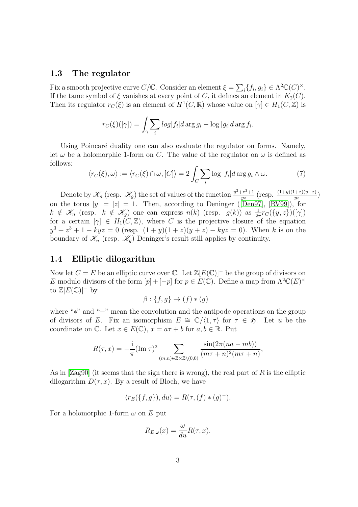## <span id="page-2-0"></span>1.3 The regulator

Fix a smooth projective curve  $C/\mathbb{C}$ . Consider an element  $\xi = \sum_i \{f_i, g_i\} \in \Lambda^2 \mathbb{C}(C)^\times$ . If the tame symbol of  $\xi$  vanishes at every point of C, it defines an element in  $K_2(C)$ . Then its regulator  $r_C(\xi)$  is an element of  $H^1(C, \mathbb{R})$  whose value on  $[\gamma] \in H_1(C, \mathbb{Z})$  is

$$
r_C(\xi)([\gamma]) = \int_{\gamma} \sum_i \log |f_i| d \arg g_i - \log |g_i| d \arg f_i.
$$

Using Poincaré duality one can also evaluate the regulator on forms. Namely, let  $\omega$  be a holomorphic 1-form on C. The value of the regulator on  $\omega$  is defined as follows:

$$
\langle r_C(\xi), \omega \rangle := \langle r_C(\xi) \cap \omega, [C] \rangle = 2 \int_C \sum_i \log |f_i| d \arg g_i \wedge \omega. \tag{7}
$$

Denote by  $\mathscr{K}_n$  (resp.  $\mathscr{K}_g$ ) the set of values of the function  $\frac{y^3+z^3+1}{yz}$  $\frac{(-z^3+1)}{yz}$  (resp.  $\frac{(1+y)(1+z)(y+z)}{yz}$ ) onthe torus  $|y| = |z| = 1$ . Then, according to Deninger ([\[Den97\]](#page-21-0), [\[RV99\]](#page-22-1)), for  $k \notin \mathscr{K}_n$  (resp.  $k \notin \mathscr{K}_g$ ) one can express  $n(k)$  (resp.  $g(k)$ ) as  $\frac{1}{2\pi}r_C(\lbrace y, z \rbrace)(\lbrace \gamma \rbrace)$ for a certain  $[\gamma] \in H_1(C, \mathbb{Z})$ , where C is the projective closure of the equation  $y^3 + z^3 + 1 - kyz = 0$  (resp.  $(1 + y)(1 + z)(y + z) - kyz = 0$ ). When k is on the boundary of  $\mathscr{K}_n$  (resp.  $\mathscr{K}_g$ ) Deninger's result still applies by continuity.

## 1.4 Elliptic dilogarithm

Now let  $C = E$  be an elliptic curve over  $\mathbb{C}$ . Let  $\mathbb{Z}[E(\mathbb{C})]$ <sup>-</sup> be the group of divisors on E modulo divisors of the form  $[p] + [-p]$  for  $p \in E(\mathbb{C})$ . Define a map from  $\Lambda^2 \mathbb{C}(E)^\times$ to  $\mathbb{Z}[E(\mathbb{C})]^-$  by

$$
\beta: \{f, g\} \to (f) * (g)^-
$$

where "∗" and "−" mean the convolution and the antipode operations on the group of divisors of E. Fix an isomorphism  $E \cong \mathbb{C}/\langle 1, \tau \rangle$  for  $\tau \in \mathfrak{H}$ . Let u be the coordinate on  $\mathbb{C}$ . Let  $x \in E(\mathbb{C})$ ,  $x = a\tau + b$  for  $a, b \in \mathbb{R}$ . Put

$$
R(\tau, x) = -\frac{\mathrm{i}}{\pi} (\mathrm{Im} \; \tau)^2 \sum_{(m,n) \in \mathbb{Z} \times \mathbb{Z} \setminus (0,0)} \frac{\sin(2\pi(na - mb))}{(m\tau + n)^2(m\overline{\tau} + n)},
$$

As in  $[Zag90]$  (it seems that the sign there is wrong), the real part of R is the elliptic dilogarithm  $D(\tau, x)$ . By a result of Bloch, we have

$$
\langle r_E(\{f,g\}), du \rangle = R(\tau, (f) * (g)^{-}).
$$

For a holomorphic 1-form  $\omega$  on E put

$$
R_{E,\omega}(x) = \frac{\omega}{du}R(\tau, x).
$$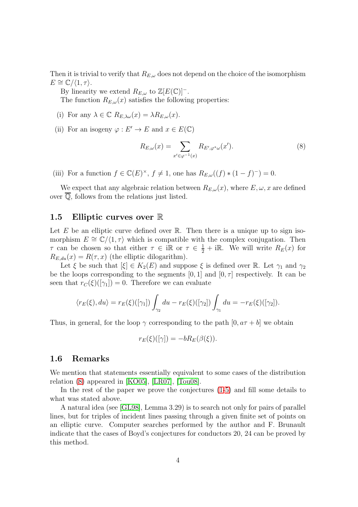Then it is trivial to verify that  $R_{E,\omega}$  does not depend on the choice of the isomorphism  $E \cong \mathbb{C}/\langle 1, \tau \rangle$ .

By linearity we extend  $R_{E,\omega}$  to  $\mathbb{Z}[E(\mathbb{C})]^-$ . The function  $R_{E,\omega}(x)$  satisfies the following properties:

- (i) For any  $\lambda \in \mathbb{C}$   $R_{E,\lambda\omega}(x) = \lambda R_{E,\omega}(x)$ .
- (ii) For an isogeny  $\varphi : E' \to E$  and  $x \in E(\mathbb{C})$

<span id="page-3-0"></span>
$$
R_{E,\omega}(x) = \sum_{x' \in \varphi^{-1}(x)} R_{E',\varphi^*\omega}(x'). \tag{8}
$$

(iii) For a function  $f \in \mathbb{C}(E)^{\times}$ ,  $f \neq 1$ , one has  $R_{E,\omega}((f) * (1 - f)^{-}) = 0$ .

We expect that any algebraic relation between  $R_{E,\omega}(x)$ , where  $E, \omega, x$  are defined over  $\overline{Q}$ , follows from the relations just listed.

### 1.5 Elliptic curves over R

Let  $E$  be an elliptic curve defined over  $\mathbb R$ . Then there is a unique up to sign isomorphism  $E \cong \mathbb{C}/\langle 1, \tau \rangle$  which is compatible with the complex conjugation. Then  $\tau$  can be chosen so that either  $\tau \in \mathbb{R}$  or  $\tau \in \frac{1}{2} + i\mathbb{R}$ . We will write  $R_E(x)$  for  $R_{E,du}(x) = R(\tau, x)$  (the elliptic dilogarithm).

Let  $\xi$  be such that  $[\xi] \in K_2(E)$  and suppose  $\xi$  is defined over R. Let  $\gamma_1$  and  $\gamma_2$ be the loops corresponding to the segments  $[0, 1]$  and  $[0, \tau]$  respectively. It can be seen that  $r_{C}(\xi)([\gamma_1]) = 0$ . Therefore we can evaluate

$$
\langle r_E(\xi), du \rangle = r_E(\xi)([\gamma_1]) \int_{\gamma_2} du - r_E(\xi)([\gamma_2]) \int_{\gamma_1} du = -r_E(\xi)([\gamma_2]).
$$

Thus, in general, for the loop  $\gamma$  corresponding to the path  $[0, a\tau + b]$  we obtain

$$
r_E(\xi)([\gamma]) = -bR_E(\beta(\xi)).
$$

## 1.6 Remarks

We mention that statements essentially equivalent to some cases of the distribution relation [\(8\)](#page-3-0) appeared in [\[KO05\]](#page-22-5), [\[LR07\]](#page-22-6), [\[Tou08\]](#page-22-7).

In the rest of the paper we prove the conjectures [\(1-](#page-1-0)[5\)](#page-1-1) and fill some details to what was stated above.

A natural idea (see [\[GL98\]](#page-21-4), Lemma 3.29) is to search not only for pairs of parallel lines, but for triples of incident lines passing through a given finite set of points on an elliptic curve. Computer searches performed by the author and F. Brunault indicate that the cases of Boyd's conjectures for conductors 20, 24 can be proved by this method.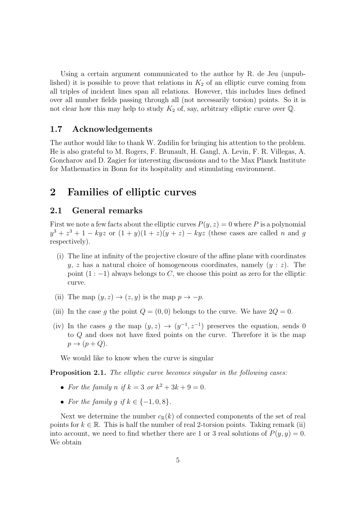Using a certain argument communicated to the author by R. de Jeu (unpublished) it is possible to prove that relations in  $K_2$  of an elliptic curve coming from all triples of incident lines span all relations. However, this includes lines defined over all number fields passing through all (not necessarily torsion) points. So it is not clear how this may help to study  $K_2$  of, say, arbitrary elliptic curve over  $\mathbb{Q}$ .

## 1.7 Acknowledgements

The author would like to thank W. Zudilin for bringing his attention to the problem. He is also grateful to M. Rogers, F. Brunault, H. Gangl, A. Levin, F. R. Villegas, A. Goncharov and D. Zagier for interesting discussions and to the Max Planck Institute for Mathematics in Bonn for its hospitality and stimulating environment.

# 2 Families of elliptic curves

## 2.1 General remarks

First we note a few facts about the elliptic curves  $P(y, z) = 0$  where P is a polynomial  $y^3 + z^3 + 1 - kyz$  or  $(1 + y)(1 + z)(y + z) - kyz$  (these cases are called n and g respectively).

- (i) The line at infinity of the projective closure of the affine plane with coordinates y, z has a natural choice of homogeneous coordinates, namely  $(y : z)$ . The point  $(1:-1)$  always belongs to C, we choose this point as zero for the elliptic curve.
- (ii) The map  $(y, z) \rightarrow (z, y)$  is the map  $p \rightarrow -p$ .
- (iii) In the case g the point  $Q = (0, 0)$  belongs to the curve. We have  $2Q = 0$ .
- (iv) In the cases g the map  $(y, z) \rightarrow (y^{-1}, z^{-1})$  preserves the equation, sends 0 to Q and does not have fixed points on the curve. Therefore it is the map  $p \rightarrow (p+Q).$

We would like to know when the curve is singular

Proposition 2.1. The elliptic curve becomes singular in the following cases:

- For the family n if  $k = 3$  or  $k^2 + 3k + 9 = 0$ .
- For the family q if  $k \in \{-1, 0, 8\}$ .

Next we determine the number  $c_{\mathbb{R}}(k)$  of connected components of the set of real points for  $k \in \mathbb{R}$ . This is half the number of real 2-torsion points. Taking remark (ii) into account, we need to find whether there are 1 or 3 real solutions of  $P(y, y) = 0$ . We obtain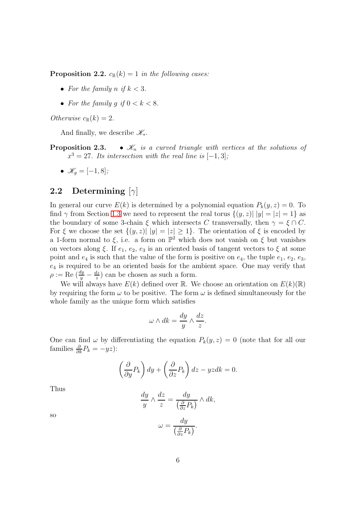**Proposition 2.2.**  $c_{\mathbb{R}}(k) = 1$  in the following cases:

- For the family n if  $k < 3$ .
- For the family q if  $0 < k < 8$ .

Otherwise  $c_{\mathbb{R}}(k) = 2$ .

And finally, we describe  $\mathscr{K}_{\ast}$ .

**Proposition 2.3.** •  $\mathcal{K}_n$  is a curved triangle with vertices at the solutions of  $x^3 = 27$ . Its intersection with the real line is  $[-1,3]$ ;

$$
\bullet \ \mathscr{K}_g = [-1,8];
$$

## <span id="page-5-0"></span>2.2 Determining  $[\gamma]$

In general our curve  $E(k)$  is determined by a polynomial equation  $P_k(y, z) = 0$ . To find  $\gamma$  from Section [1.3](#page-2-0) we need to represent the real torus  $\{(y, z) | |y| = |z| = 1\}$  as the boundary of some 3-chain  $\xi$  which intersects C transversally, then  $\gamma = \xi \cap C$ . For  $\xi$  we choose the set  $\{(y, z) | |y| = |z| \geq 1\}$ . The orientation of  $\xi$  is encoded by a 1-form normal to  $\xi$ , i.e. a form on  $\mathbb{P}^2$  which does not vanish on  $\xi$  but vanishes on vectors along  $\xi$ . If  $e_1, e_2, e_3$  is an oriented basis of tangent vectors to  $\xi$  at some point and  $e_4$  is such that the value of the form is positive on  $e_4$ , the tuple  $e_1, e_2, e_3$ ,  $e_4$  is required to be an oriented basis for the ambient space. One may verify that  $\rho:=\text{Re} \ (\frac{dy}{y} - \frac{dz}{z})$  $\frac{dz}{z}$ ) can be chosen as such a form.

We will always have  $E(k)$  defined over R. We choose an orientation on  $E(k)(\mathbb{R})$ by requiring the form  $\omega$  to be positive. The form  $\omega$  is defined simultaneously for the whole family as the unique form which satisfies

$$
\omega \wedge dk = \frac{dy}{y} \wedge \frac{dz}{z}.
$$

One can find  $\omega$  by differentiating the equation  $P_k(y, z) = 0$  (note that for all our families  $\frac{\partial}{\partial k}P_k = -yz$ :

$$
\left(\frac{\partial}{\partial y}P_k\right)dy + \left(\frac{\partial}{\partial z}P_k\right)dz - yzdk = 0.
$$

Thus

$$
\frac{dy}{y} \wedge \frac{dz}{z} = \frac{dy}{\left(\frac{\partial}{\partial z}P_k\right)} \wedge dk,
$$

so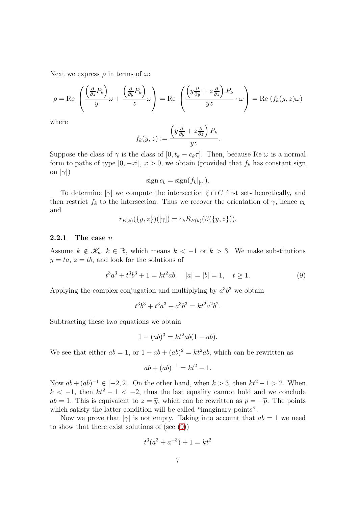Next we express  $\rho$  in terms of  $\omega$ :

$$
\rho = \text{Re}\left(\frac{\left(\frac{\partial}{\partial z}P_k\right)}{y}\omega + \frac{\left(\frac{\partial}{\partial y}P_k\right)}{z}\omega\right) = \text{Re}\left(\frac{\left(y\frac{\partial}{\partial y} + z\frac{\partial}{\partial z}\right)P_k}{yz}\cdot\omega\right) = \text{Re}\left(f_k(y,z)\omega\right)
$$

where

$$
f_k(y, z) := \frac{\left(y\frac{\partial}{\partial y} + z\frac{\partial}{\partial z}\right)P_k}{yz}
$$

Suppose the class of  $\gamma$  is the class of  $[0, t_k - c_k \tau]$ . Then, because Re  $\omega$  is a normal form to paths of type [0, -xi],  $x > 0$ , we obtain (provided that  $f_k$  has constant sign on  $|\gamma|$ )

$$
\operatorname{sign} c_k = \operatorname{sign}(f_k|_{|\gamma|}).
$$

To determine  $[\gamma]$  we compute the intersection  $\xi \cap C$  first set-theoretically, and then restrict  $f_k$  to the intersection. Thus we recover the orientation of  $\gamma$ , hence  $c_k$ and

$$
r_{E(k)}(\{y,z\})([\gamma]) = c_k R_{E(k)}(\beta(\{y,z\})).
$$

#### 2.2.1 The case  $n$

Assume  $k \notin \mathscr{K}_n, k \in \mathbb{R}$ , which means  $k < -1$  or  $k > 3$ . We make substitutions  $y = ta, z = tb$ , and look for the solutions of

<span id="page-6-0"></span>
$$
t3a3 + t3b3 + 1 = kt2ab, \quad |a| = |b| = 1, \quad t \ge 1.
$$
 (9)

.

Applying the complex conjugation and multiplying by  $a^3b^3$  we obtain

$$
t^3b^3 + t^3a^3 + a^3b^3 = kt^2a^2b^2.
$$

Subtracting these two equations we obtain

$$
1 - (ab)^3 = kt^2ab(1 - ab).
$$

We see that either  $ab = 1$ , or  $1 + ab + (ab)^2 = kt^2ab$ , which can be rewritten as

$$
ab + (ab)^{-1} = kt^2 - 1.
$$

Now  $ab + (ab)^{-1} \in [-2, 2]$ . On the other hand, when  $k > 3$ , then  $kt^2 - 1 > 2$ . When  $k < -1$ , then  $kt^2 - 1 < -2$ , thus the last equality cannot hold and we conclude  $ab = 1$ . This is equivalent to  $z = \overline{y}$ , which can be rewritten as  $p = -\overline{p}$ . The points which satisfy the latter condition will be called "imaginary points".

Now we prove that  $|\gamma|$  is not empty. Taking into account that  $ab = 1$  we need to show that there exist solutions of (see [\(9\)](#page-6-0))

$$
t^3(a^3 + a^{-3}) + 1 = kt^2
$$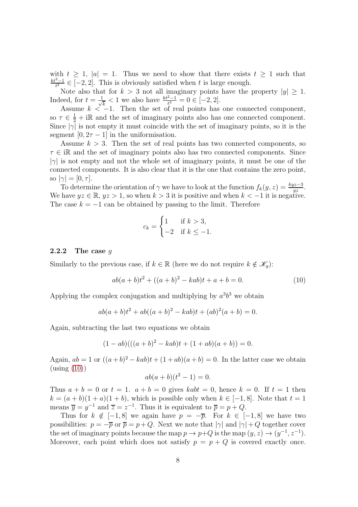with  $t \geq 1$ ,  $|a| = 1$ . Thus we need to show that there exists  $t \geq 1$  such that  $\frac{kt^2-1}{t^3} \in \overline{[-2,2]}$ . This is obviously satisfied when t is large enough.

Note also that for  $k > 3$  not all imaginary points have the property  $|y| \geq 1$ . Indeed, for  $t = \frac{1}{\sqrt{2}}$  $\frac{1}{k} < 1$  we also have  $\frac{kt^2-1}{t^3} = 0 \in [-2, 2].$ 

Assume  $k < -1$ . Then the set of real points has one connected component, so  $\tau \in \frac{1}{2} + i\mathbb{R}$  and the set of imaginary points also has one connected component. Since  $|\gamma|$  is not empty it must coincide with the set of imaginary points, so it is the segment  $[0, 2\tau - 1]$  in the uniformisation.

Assume  $k > 3$ . Then the set of real points has two connected components, so  $\tau \in \mathbb{R}$  and the set of imaginary points also has two connected components. Since  $|\gamma|$  is not empty and not the whole set of imaginary points, it must be one of the connected components. It is also clear that it is the one that contains the zero point, so  $|\gamma| = [0, \tau]$ .

To determine the orientation of  $\gamma$  we have to look at the function  $f_k(y, z) = \frac{kyz-3}{yz}$ . We have  $yz \in \mathbb{R}$ ,  $yz > 1$ , so when  $k > 3$  it is positive and when  $k < -1$  it is negative. The case  $k = -1$  can be obtained by passing to the limit. Therefore

$$
c_k = \begin{cases} 1 & \text{if } k > 3, \\ -2 & \text{if } k \le -1. \end{cases}
$$

#### 2.2.2 The case  $q$

Similarly to the previous case, if  $k \in \mathbb{R}$  (here we do not require  $k \notin \mathscr{K}_g$ ):

<span id="page-7-0"></span>
$$
ab(a+b)t2 + ((a+b)2 - kab)t + a + b = 0.
$$
 (10)

Applying the complex conjugation and multiplying by  $a^3b^3$  we obtain

$$
ab(a+b)t2 + ab((a+b)2 - kab)t + (ab)2(a+b) = 0.
$$

Again, subtracting the last two equations we obtain

$$
(1 - ab)(( (a + b)2 - kab)t + (1 + ab)(a + b)) = 0.
$$

Again,  $ab = 1$  or  $((a+b)^2 - kab)t + (1+ab)(a+b) = 0$ . In the latter case we obtain  $\left(\text{using } (10)\right)$  $\left(\text{using } (10)\right)$  $\left(\text{using } (10)\right)$ 

$$
ab(a+b)(t^2-1) = 0.
$$

Thus  $a + b = 0$  or  $t = 1$ .  $a + b = 0$  gives  $kabt = 0$ , hence  $k = 0$ . If  $t = 1$  then  $k = (a + b)(1 + a)(1 + b)$ , which is possible only when  $k \in [-1, 8]$ . Note that  $t = 1$ means  $\overline{y} = y^{-1}$  and  $\overline{z} = z^{-1}$ . Thus it is equivalent to  $\overline{p} = p + Q$ .

Thus for  $k \notin [-1, 8]$  we again have  $p = -\overline{p}$ . For  $k \in [-1, 8]$  we have two possibilities:  $p = -\overline{p}$  or  $\overline{p} = p+Q$ . Next we note that  $|\gamma|$  and  $|\gamma| + Q$  together cover the set of imaginary points because the map  $p \to p+Q$  is the map  $(y, z) \to (y^{-1}, z^{-1})$ . Moreover, each point which does not satisfy  $p = p + Q$  is covered exactly once.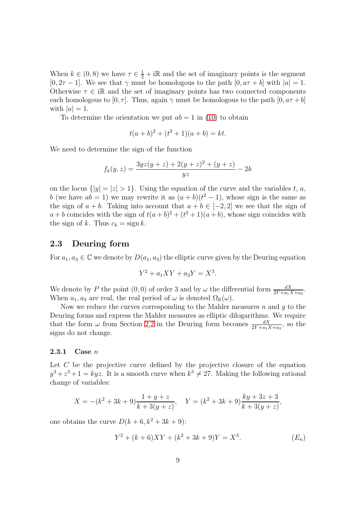When  $k \in (0,8)$  we have  $\tau \in \frac{1}{2} + i\mathbb{R}$  and the set of imaginary points is the segment  $[0, 2\tau - 1]$ . We see that  $\gamma$  must be homologous to the path  $[0, a\tau + b]$  with  $|a| = 1$ . Otherwise  $\tau \in \mathbb{R}$  and the set of imaginary points has two connected components each homologous to  $[0, \tau]$ . Thus, again  $\gamma$  must be homologous to the path  $[0, a\tau + b]$ with  $|a|=1$ .

To determine the orientation we put  $ab = 1$  in [\(10\)](#page-7-0) to obtain

$$
t(a+b)^2 + (t^2+1)(a+b) = kt.
$$

We need to determine the sign of the function

$$
f_k(y, z) = \frac{3yz(y + z) + 2(y + z)^2 + (y + z)}{yz} - 2k
$$

on the locus  $\{|y| = |z| > 1\}$ . Using the equation of the curve and the variables t, a, b (we have  $ab = 1$ ) we may rewrite it as  $(a + b)(t^2 - 1)$ , whose sign is the same as the sign of  $a + b$ . Taking into account that  $a + b \in [-2, 2]$  we see that the sign of  $a + b$  coincides with the sign of  $t(a + b)^2 + (t^2 + 1)(a + b)$ , whose sign coincides with the sign of k. Thus  $c_k = \text{sign } k$ .

## 2.3 Deuring form

For  $a_1, a_3 \in \mathbb{C}$  we denote by  $D(a_1, a_3)$  the elliptic curve given by the Deuring equation

$$
Y^2 + a_1XY + a_3Y = X^3.
$$

We denote by P the point  $(0,0)$  of order 3 and by  $\omega$  the differential form  $\frac{dX}{2Y + a_1 X + a_3}$ . When  $a_1, a_3$  are real, the real period of  $\omega$  is denoted  $\Omega_{\mathbb{R}}(\omega)$ .

Now we reduce the curves corresponding to the Mahler measures n and q to the Deuring forms and express the Mahler measures as elliptic dilogarithms. We require that the form  $\omega$  from Section [2.2](#page-5-0) in the Deuring form becomes  $\frac{dX}{2Y+a_1X+a_3}$ , so the signs do not change.

#### <span id="page-8-1"></span>2.3.1 Case  $n$

Let  $C$  be the projective curve defined by the projective closure of the equation  $y^3 + z^3 + 1 = kyz$ . It is a smooth curve when  $k^3 \neq 27$ . Making the following rational change of variables:

$$
X = -(k^2 + 3k + 9)\frac{1 + y + z}{k + 3(y + z)}, \quad Y = (k^2 + 3k + 9)\frac{ky + 3z + 3}{k + 3(y + z)},
$$

one obtains the curve  $D(k+6, k^2+3k+9)$ :

<span id="page-8-0"></span>
$$
Y^{2} + (k+6)XY + (k^{2} + 3k + 9)Y = X^{3}.
$$
 (E<sub>n</sub>)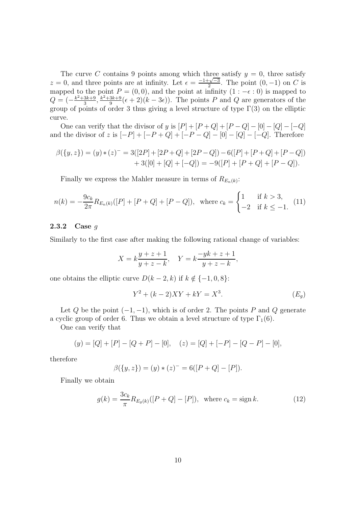The curve C contains 9 points among which three satisfy  $y = 0$ , three satisfy  $z = 0$ , and three points are at infinity. Let  $\epsilon = \frac{-1+\sqrt{-3}}{2}$ . The point  $(0, -1)$  on C is mapped to the point  $P = (0, 0)$ , and the point at infinity  $(1 : -\epsilon : 0)$  is mapped to  $Q = \left(-\frac{k^2 + 3k + 9}{3}\right)$  $\frac{3k+9}{3}, \frac{k^2+3k+9}{9}$  $\frac{3k+9}{9}(\epsilon+2)(k-3\epsilon)$ . The points P and Q are generators of the group of points of order 3 thus giving a level structure of type  $\Gamma(3)$  on the elliptic curve.

One can verify that the divisor of y is  $[P] + [P+Q] + [P-Q] - [0] - [Q] - [-Q]$ and the divisor of z is  $[-P] + [-P+Q] + [-P-Q] - [0] - [Q] - [-Q]$ . Therefore

$$
\beta({y, z}) = (y) * (z)^{-} = 3([2P] + [2P + Q] + [2P - Q]) - 6([P] + [P + Q] + [P - Q])
$$
  
+ 3([0] + [Q] + [-Q]) = -9([P] + [P + Q] + [P - Q]).

Finally we express the Mahler measure in terms of  $R_{E_n(k)}$ :

$$
n(k) = -\frac{9c_k}{2\pi} R_{E_n(k)}([P] + [P+Q] + [P-Q]), \text{ where } c_k = \begin{cases} 1 & \text{if } k > 3, \\ -2 & \text{if } k \le -1. \end{cases}
$$
 (11)

#### <span id="page-9-1"></span>2.3.2 Case  $q$

Similarly to the first case after making the following rational change of variables:

$$
X = k\frac{y+z+1}{y+z-k}, \quad Y = k\frac{-yk+z+1}{y+z-k},
$$

one obtains the elliptic curve  $D(k-2, k)$  if  $k \notin \{-1, 0, 8\}$ :

<span id="page-9-0"></span>
$$
Y^{2} + (k - 2)XY + kY = X^{3}.
$$
 (E<sub>g</sub>)

Let Q be the point  $(-1, -1)$ , which is of order 2. The points P and Q generate a cyclic group of order 6. Thus we obtain a level structure of type  $\Gamma_1(6)$ .

One can verify that

$$
(y) = [Q] + [P] - [Q + P] - [0], \quad (z) = [Q] + [-P] - [Q - P] - [0],
$$

therefore

$$
\beta({y, z}) = (y) * (z)^{-} = 6([P + Q] - [P]).
$$

Finally we obtain

<span id="page-9-2"></span>
$$
g(k) = \frac{3c_k}{\pi} R_{E_g(k)}([P+Q] - [P]), \text{ where } c_k = \text{sign } k. \tag{12}
$$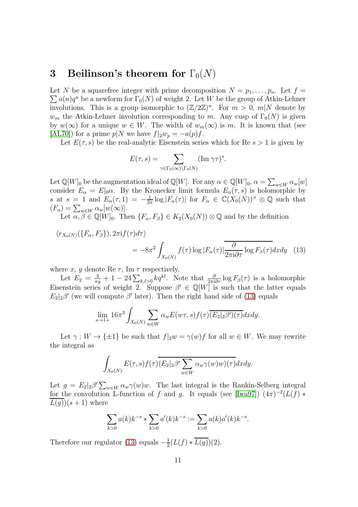# <span id="page-10-1"></span>3 Beilinson's theorem for  $\Gamma_0(N)$

Let N be a squarefree integer with prime decomposition  $N = p_1, \ldots, p_n$ . Let  $f =$  $\sum a(n)q^n$  be a newform for  $\Gamma_0(N)$  of weight 2. Let W be the group of Atkin-Lehner involutions. This is a group isomorphic to  $(\mathbb{Z}/2\mathbb{Z})^n$ . For  $m > 0$ ,  $m|N$  denote by  $w_m$  the Atkin-Lehner involution corresponding to m. Any cusp of  $\Gamma_0(N)$  is given by  $w(\infty)$  for a unique  $w \in W$ . The width of  $w_m(\infty)$  is m. It is known that (see [\[AL70\]](#page-21-5)) for a prime  $p|N$  we have  $f|_2w_p = -a(p)f$ .

Let  $E(\tau, s)$  be the real-analytic Eisenstein series which for Re  $s > 1$  is given by

<span id="page-10-0"></span>
$$
E(\tau,s) = \sum_{\gamma \in \Gamma_0(\infty) \backslash \Gamma_0(N)} (\text{Im } \gamma \tau)^s.
$$

Let  $\mathbb{Q}[W]_0$  be the augmentation ideal of  $\mathbb{Q}[W]$ . For any  $\alpha \in \mathbb{Q}[W]_0$ ,  $\alpha = \sum_{w \in W} \alpha_w[w]$ consider  $E_{\alpha} = E|_{0}\alpha$ . By the Kronecker limit formula  $E_{\alpha}(\tau, s)$  is holomorphic by s at s = 1 and  $E_{\alpha}(\tau,1) = -\frac{1}{2\pi}$  $\frac{1}{2\pi} \log |F_\alpha(\tau)|$  for  $F_\alpha \in \mathbb{C}(X_0(N))^\times \otimes \mathbb{Q}$  such that  $(F_{\alpha}) = \sum_{w \in W} \alpha_w[w(\infty)].$ 

Let  $\alpha, \beta \in \mathbb{Q}[W]_0$ . Then  $\{F_\alpha, F_\beta\} \in K_2(X_0(N)) \otimes \mathbb{Q}$  and by the definition

$$
\langle r_{X_0(N)}(\lbrace F_\alpha, F_\beta \rbrace), 2\pi i f(\tau) d\tau \rangle
$$
  
= 
$$
-8\pi^2 \int_{X_0(N)} f(\tau) \log |F_\alpha(\tau)| \frac{\partial}{2\pi i \partial \tau} \log F_\beta(\tau) dxdy \quad (13)
$$

where  $x,\,y$  denote Re  $\tau,$  Im  $\tau$  respectively.

Let  $E_2 = \frac{3}{\pi y} + 1 - 24 \sum_{k,l>0} kq^{kl}$ . Note that  $\frac{\partial}{2\pi i \partial \tau} \log F_{\beta}(\tau)$  is a holomorphic Eisenstein series of weight 2. Suppose  $\beta' \in \mathbb{Q}[W]$  is such that the latter equals  $E_2|_2\beta'$  (we will compute  $\beta'$  later). Then the right hand side of [\(13\)](#page-10-0) equals

$$
\lim_{s \to 1+} 16\pi^3 \int_{X_0(N)} \sum_{w \in W} \alpha_w E(w\tau, s) f(\tau) \overline{(E_2|_2 \beta')(\tau)} dx dy.
$$

Let  $\gamma: W \to {\pm 1}$  be such that  $f|_2w = \gamma(w)f$  for all  $w \in W$ . We may rewrite the integral as

$$
\int_{X_0(N)} E(\tau,s)f(\tau)\overline{(E_2|_2\beta'\sum_{w\in W} \alpha_w\gamma(w)w)(\tau)}dxdy.
$$

Let  $g = E_2|_2 \beta' \sum_{w \in W} \alpha_w \gamma(w)w$ . The last integral is the Rankin-Selberg integral for the convolution L-function of f and g. It equals (see [\[Iwa97\]](#page-21-6))  $(4\pi)^{-2}(L(f) *$  $L(g)(s+1)$  where

$$
\sum_{k>0} a(k)k^{-s} * \sum_{k>0} a'(k)k^{-s} := \sum_{k>0} a(k)a'(k)k^{-s}.
$$

Therefore our regulator [\(13\)](#page-10-0) equals  $-\frac{1}{2}$  $rac{1}{2}(L(f) * L(g))(2).$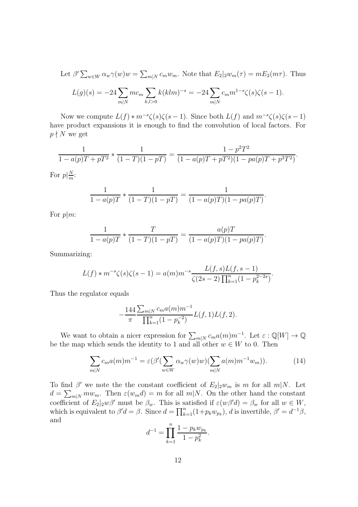Let 
$$
\beta' \sum_{w \in W} \alpha_w \gamma(w) w = \sum_{m|N} c_m w_m
$$
. Note that  $E_2|_2 w_m(\tau) = mE_2(m\tau)$ . Thus  

$$
L(g)(s) = -24 \sum_{m|N} m c_m \sum_{k,l>0} k(klm)^{-s} = -24 \sum_{m|N} c_m m^{1-s} \zeta(s) \zeta(s-1).
$$

Now we compute  $L(f) * m^{-s} \zeta(s) \zeta(s-1)$ . Since both  $L(f)$  and  $m^{-s} \zeta(s) \zeta(s-1)$ have product expansions it is enough to find the convolution of local factors. For  $p \nmid N$  we get

$$
\frac{1}{1 - a(p)T + pT^2} * \frac{1}{(1 - T)(1 - pT)} = \frac{1 - p^2T^2}{(1 - a(p)T + pT^2)(1 - pa(p)T + p^3T^2)}.
$$
  
For  $p|\frac{N}{m}$ :

$$
\frac{1}{1 - a(p)T} * \frac{1}{(1 - T)(1 - pT)} = \frac{1}{(1 - a(p)T)(1 - pa(p)T)}.
$$

For  $p|m$ :

$$
\frac{1}{1 - a(p)T} * \frac{T}{(1 - T)(1 - pT)} = \frac{a(p)T}{(1 - a(p)T)(1 - pa(p)T)}.
$$

Summarizing:

$$
L(f) * m^{-s} \zeta(s) \zeta(s-1) = a(m) m^{-s} \frac{L(f,s)L(f,s-1)}{\zeta(2s-2) \prod_{k=1}^n (1-p_k^{2-2s})}.
$$

Thus the regulator equals

$$
-\frac{144}{\pi} \frac{\sum_{m|N} c_m a(m) m^{-1}}{\prod_{k=1}^n (1 - p_k^{-2})} L(f, 1) L(f, 2).
$$

We want to obtain a nicer expression for  $\sum_{m|N} c_m a(m) m^{-1}$ . Let  $\varepsilon : \mathbb{Q}[W] \to \mathbb{Q}$ be the map which sends the identity to 1 and all other  $w \in W$  to 0. Then

<span id="page-11-0"></span>
$$
\sum_{m|N} c_m a(m) m^{-1} = \varepsilon (\beta' (\sum_{w \in W} \alpha_w \gamma(w) w) (\sum_{m|N} a(m) m^{-1} w_m)). \tag{14}
$$

To find  $\beta'$  we note the the constant coefficient of  $E_2|_2w_m$  is m for all  $m|N$ . Let  $d = \sum_{m|N} m w_m$ . Then  $\varepsilon(w_m d) = m$  for all  $m|N$ . On the other hand the constant coefficient of  $E_2|_2w\beta'$  must be  $\beta_w$ . This is satisfied if  $\varepsilon(w\beta'd) = \beta_w$  for all  $w \in W$ , which is equivalent to  $\beta' d = \beta$ . Since  $d = \prod_{k=1}^{n} (1 + p_k w_{p_k})$ , d is invertible,  $\beta' = d^{-1}\beta$ , and

$$
d^{-1} = \prod_{k=1}^{n} \frac{1 - p_k w_{p_k}}{1 - p_k^2}.
$$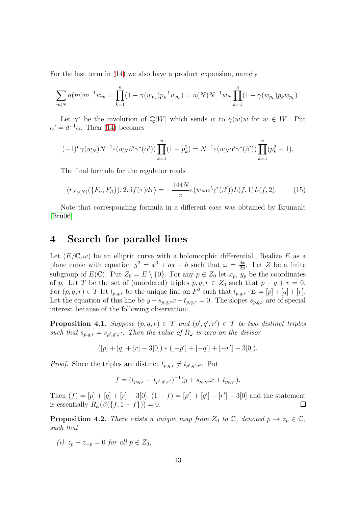For the last term in [\(14\)](#page-11-0) we also have a product expansion, namely

$$
\sum_{m|N} a(m)m^{-1}w_m = \prod_{k=1}^n (1 - \gamma(w_{p_k})p_k^{-1}w_{p_k}) = a(N)N^{-1}w_N \prod_{k=1}^n (1 - \gamma(w_{p_k})p_kw_{p_k}).
$$

Let  $\gamma^*$  be the involution of  $\mathbb{Q}[W]$  which sends w to  $\gamma(w)w$  for  $w \in W$ . Put  $\alpha' = d^{-1}\alpha$ . Then [\(14\)](#page-11-0) becomes

$$
(-1)^{n}\gamma(w_{N})N^{-1}\varepsilon(w_{N}\beta'\gamma^{*}(\alpha'))\prod_{k=1}^{n}(1-p_{k}^{2})=N^{-1}\varepsilon(w_{N}\alpha'\gamma^{*}(\beta'))\prod_{k=1}^{n}(p_{k}^{2}-1).
$$

The final formula for the regulator reads

<span id="page-12-2"></span>
$$
\langle r_{X_0(N)}(\lbrace F_\alpha, F_\beta \rbrace), 2\pi i f(\tau) d\tau \rangle = -\frac{144N}{\pi} \varepsilon (w_N \alpha' \gamma^*(\beta')) L(f, 1) L(f, 2). \tag{15}
$$

Note that corresponding formula in a different case was obtained by Brunault [\[Bru06\]](#page-21-7).

## <span id="page-12-3"></span>4 Search for parallel lines

Let  $(E/\mathbb{C}, \omega)$  be an elliptic curve with a holomorphic differential. Realize E as a plane cubic with equation  $y^2 = x^3 + ax + b$  such that  $\omega = \frac{dx}{2a}$  $\frac{dx}{2y}$ . Let Z be a finite subgroup of  $E(\mathbb{C})$ . Put  $Z_0 = E \setminus \{0\}$ . For any  $p \in Z_0$  let  $x_p$ ,  $y_p$  be the coordinates of p. Let T be the set of (unordered) triples  $p, q, r \in Z_0$  such that  $p + q + r = 0$ . For  $(p, q, r) \in T$  let  $l_{p,q,r}$  be the unique line on  $P^2$  such that  $l_{p,q,r} \cdot E = [p] + [q] + [r]$ . Let the equation of this line be  $y + s_{p,q,r}x + t_{p,q,r} = 0$ . The slopes  $s_{p,q,r}$  are of special interest because of the following observation:

<span id="page-12-1"></span>**Proposition 4.1.** Suppose  $(p, q, r) \in T$  and  $(p', q', r') \in T$  be two distinct triples such that  $s_{p,q,r} = s_{p',q',r'}$ . Then the value of  $R_{\omega}$  is zero on the divisor

$$
([p] + [q] + [r] - 3[0]) * ([-p'] + [-q'] + [-r'] - 3[0]).
$$

*Proof.* Since the triples are distinct  $t_{p,q,r} \neq t_{p',q',r'}$ . Put

$$
f = (t_{p,q,r} - t_{p',q',r'})^{-1} (y + s_{p,q,r}x + t_{p,q,r}).
$$

Then  $(f) = [p] + [q] + [r] - 3[0], (1 - f) = [p'] + [q'] + [r'] - 3[0]$  and the statement is essentially  $R_{\omega}(\beta({f, 1-f})) = 0.$  $\Box$ 

<span id="page-12-0"></span>**Proposition 4.2.** There exists a unique map from  $Z_0$  to  $\mathbb{C}$ , denoted  $p \to z_p \in \mathbb{C}$ , such that

(i)  $z_p + z_{-p} = 0$  for all  $p \in Z_0$ ,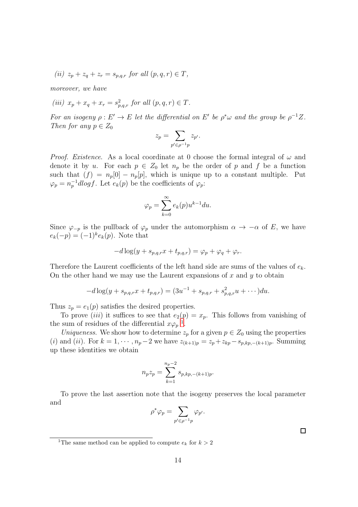(ii)  $z_p + z_q + z_r = s_{p,q,r}$  for all  $(p, q, r) \in T$ ,

moreover, we have

(iii)  $x_p + x_q + x_r = s_{p,q,r}^2$  for all  $(p, q, r) \in T$ .

For an isogeny  $\rho: E' \to E$  let the differential on E' be  $\rho^* \omega$  and the group be  $\rho^{-1} Z$ . Then for any  $p \in Z_0$ 

$$
z_p = \sum_{p' \in \rho^{-1}p} z_{p'}.
$$

*Proof.* Existence. As a local coordinate at 0 choose the formal integral of  $\omega$  and denote it by u. For each  $p \in Z_0$  let  $n_p$  be the order of p and f be a function such that  $(f) = n_p[0] - n_p[p]$ , which is unique up to a constant multiple. Put  $\varphi_p = n_p^{-1}dlog f$ . Let  $e_k(p)$  be the coefficients of  $\varphi_p$ :

$$
\varphi_p = \sum_{k=0}^{\infty} e_k(p) u^{k-1} du.
$$

Since  $\varphi_{-p}$  is the pullback of  $\varphi_p$  under the automorphism  $\alpha \to -\alpha$  of E, we have  $e_k(-p) = (-1)^k e_k(p)$ . Note that

$$
-d\log(y+s_{p,q,r}x+t_{p,q,r})=\varphi_p+\varphi_q+\varphi_r.
$$

Therefore the Laurent coefficients of the left hand side are sums of the values of  $e_k$ . On the other hand we may use the Laurent expansions of  $x$  and  $y$  to obtain

$$
-d\log(y+s_{p,q,r}x+t_{p,q,r})=(3u^{-1}+s_{p,q,r}+s_{p,q,r}^2u+\cdots)du.
$$

Thus  $z_p = e_1(p)$  satisfies the desired properties.

To prove *(iii)* it suffices to see that  $e_2(p) = x_p$ . This follows from vanishing of the sum of residues of the differential  $x\varphi_p^{-1}$  $x\varphi_p^{-1}$  $x\varphi_p^{-1}$ .

Uniqueness. We show how to determine  $z_p$  for a given  $p \in Z_0$  using the properties (i) and (ii). For  $k = 1, \dots, n_p-2$  we have  $z_{(k+1)p} = z_p + z_{kp} - s_{p,kp,-(k+1)p}$ . Summing up these identities we obtain

$$
n_p z_p = \sum_{k=1}^{n_p - 2} s_{p, kp, -(k+1)p}.
$$

To prove the last assertion note that the isogeny preserves the local parameter and

$$
\rho^*\varphi_p = \sum_{p' \in \rho^{-1}p} \varphi_{p'}.
$$

 $\Box$ 

<span id="page-13-0"></span><sup>&</sup>lt;sup>1</sup>The same method can be applied to compute  $e_k$  for  $k > 2$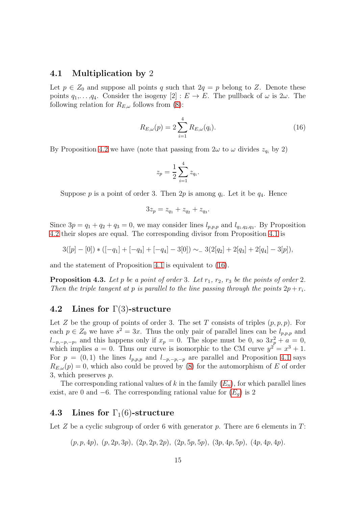## 4.1 Multiplication by 2

Let  $p \in Z_0$  and suppose all points q such that  $2q = p$  belong to Z. Denote these points  $q_1, \ldots, q_4$ . Consider the isogeny  $[2] : E \to E$ . The pullback of  $\omega$  is  $2\omega$ . The following relation for  $R_{E,\omega}$  follows from [\(8\)](#page-3-0):

<span id="page-14-0"></span>
$$
R_{E,\omega}(p) = 2 \sum_{i=1}^{4} R_{E,\omega}(q_i).
$$
 (16)

By Proposition [4.2](#page-12-0) we have (note that passing from  $2\omega$  to  $\omega$  divides  $z_{q_i}$  by 2)

$$
z_p = \frac{1}{2} \sum_{i=1}^{4} z_{q_i}.
$$

Suppose  $p$  is a point of order 3. Then  $2p$  is among  $q_i$ . Let it be  $q_4$ . Hence

$$
3z_p = z_{q_1} + z_{q_2} + z_{q_3}.
$$

Since  $3p = q_1 + q_2 + q_3 = 0$ , we may consider lines  $l_{p,p,p}$  and  $l_{q_1,q_2,q_3}$ . By Proposition [4.2](#page-12-0) their slopes are equal. The corresponding divisor from Proposition [4.1](#page-12-1) is

$$
3([p] - [0]) * ([-q1] + [-q3] + [-q4] - 3[0]) \sim_{-} 3(2[q2] + 2[q3] + 2[q4] - 3[p]),
$$

and the statement of Proposition [4.1](#page-12-1) is equivalent to [\(16\)](#page-14-0).

**Proposition 4.3.** Let p be a point of order 3. Let  $r_1$ ,  $r_2$ ,  $r_3$  be the points of order 2. Then the triple tangent at p is parallel to the line passing through the points  $2p + r_i$ .

### <span id="page-14-1"></span>4.2 Lines for  $\Gamma(3)$ -structure

Let Z be the group of points of order 3. The set T consists of triples  $(p, p, p)$ . For each  $p \in Z_0$  we have  $s^2 = 3x$ . Thus the only pair of parallel lines can be  $l_{p,p,p}$  and  $l_{-p,-p,-p}$ , and this happens only if  $x_p = 0$ . The slope must be 0, so  $3x_p^2 + a = 0$ , which implies  $a = 0$ . Thus our curve is isomorphic to the CM curve  $y^2 = x^3 + 1$ . For  $p = (0, 1)$  the lines  $l_{p,p,p}$  and  $l_{-p,-p,-p}$  are parallel and Proposition [4.1](#page-12-1) says  $R_{E,\omega}(p) = 0$ , which also could be proved by [\(8\)](#page-3-0) for the automorphism of E of order 3, which preserves p.

The corresponding rational values of k in the family  $(E_n)$  $(E_n)$  $(E_n)$ , for which parallel lines exist, are 0 and  $-6$ . The corresponding rational value for  $(E_q)$  $(E_q)$  $(E_q)$  is 2

## <span id="page-14-2"></span>4.3 Lines for  $\Gamma_1(6)$ -structure

Let Z be a cyclic subgroup of order 6 with generator p. There are 6 elements in  $T$ :

 $(p, p, 4p), (p, 2p, 3p), (2p, 2p, 2p), (2p, 5p, 5p), (3p, 4p, 5p), (4p, 4p, 4p).$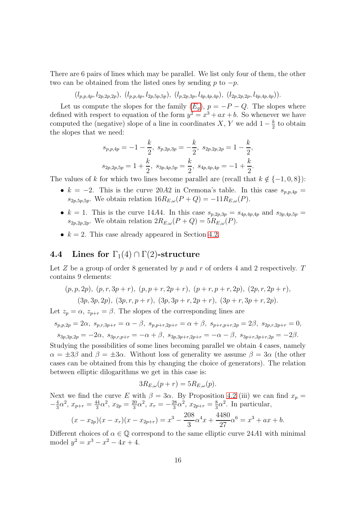There are 6 pairs of lines which may be parallel. We list only four of them, the other two can be obtained from the listed ones by sending p to  $-p$ .

 $(l_{p,p,4p}, l_{2p,2p,2p}), (l_{p,p,4p}, l_{2p,5p,5p}), (l_{p,2p,3p}, l_{4p,4p,4p}), (l_{2p,2p,2p}, l_{4p,4p,4p})).$ 

Let us compute the slopes for the family  $(E_q)$  $(E_q)$  $(E_q)$ ,  $p = -P - Q$ . The slopes where defined with respect to equation of the form  $y^2 = x^3 + ax + b$ . So whenever we have computed the (negative) slope of a line in coordinates X, Y we add  $1-\frac{k}{2}$  $\frac{k}{2}$  to obtain the slopes that we need:

$$
s_{p,p,4p} = -1 - \frac{k}{2}, \ s_{p,2p,3p} = -\frac{k}{2}, \ s_{2p,2p,2p} = 1 - \frac{k}{2},
$$
  

$$
s_{2p,2p,5p} = 1 + \frac{k}{2}, \ s_{3p,4p,5p} = \frac{k}{2}, \ s_{4p,4p,4p} = -1 + \frac{k}{2}.
$$

The values of k for which two lines become parallel are (recall that  $k \notin \{-1, 0, 8\}$ ):

- k = -2. This is the curve 20A2 in Cremona's table. In this case  $s_{p,p,4p}$  =  $s_{2p,5p,5p}$ . We obtain relation  $16R_{E,\omega}(P+Q) = -11R_{E,\omega}(P)$ .
- $k = 1$ . This is the curve 14A4. In this case  $s_{p,2p,3p} = s_{4p,4p,4p}$  and  $s_{3p,4p,5p} =$  $s_{2p,2p,2p}$ . We obtain relation  $2R_{E,\omega}(P+Q) = 5R_{E,\omega}(P)$ .
- $k = 2$ . This case already appeared in Section [4.2.](#page-14-1)

## 4.4 Lines for  $\Gamma_1(4) \cap \Gamma(2)$ -structure

Let Z be a group of order 8 generated by p and r of orders 4 and 2 respectively. T contains 9 elements:

$$
(p, p, 2p), (p, r, 3p + r), (p, p + r, 2p + r), (p + r, p + r, 2p), (2p, r, 2p + r),(3p, 3p, 2p), (3p, r, p + r), (3p, 3p + r, 2p + r), (3p + r, 3p + r, 2p).
$$

Let  $z_p = \alpha$ ,  $z_{p+r} = \beta$ . The slopes of the corresponding lines are

$$
s_{p,p,2p} = 2\alpha, \ s_{p,r,3p+r} = \alpha - \beta, \ s_{p,p+r,2p+r} = \alpha + \beta, \ s_{p+r,p+r,2p} = 2\beta, \ s_{2p,r,2p+r} = 0,
$$
  

$$
s_{3p,3p,2p} = -2\alpha, \ s_{3p,r,p+r} = -\alpha + \beta, \ s_{3p,3p+r,2p+r} = -\alpha - \beta, \ s_{3p+r,3p+r,2p} = -2\beta.
$$

Studying the possibilities of some lines becoming parallel we obtain 4 cases, namely  $\alpha = \pm 3\beta$  and  $\beta = \pm 3\alpha$ . Without loss of generality we assume  $\beta = 3\alpha$  (the other cases can be obtained from this by changing the choice of generators). The relation between elliptic dilogarithms we get in this case is:

$$
3R_{E,\omega}(p+r) = 5R_{E,\omega}(p).
$$

Next we find the curve E with  $\beta = 3\alpha$ . By Proposition [4.2](#page-12-0) (iii) we can find  $x_p =$  $-\frac{4}{3}$  $rac{4}{3}\alpha^2, x_{p+r} = \frac{44}{3}$  $rac{14}{3}\alpha^2$ ,  $x_{2p} = \frac{20}{3}$  $\frac{20}{3}\alpha^2, x_r = -\frac{28}{3}$  $\frac{28}{3}\alpha^2$ ,  $x_{2p+r} = \frac{8}{3}$  $\frac{8}{3}\alpha^2$ . In particular,

$$
(x-x_{2p})(x-x_r)(x-x_{2p+r}) = x^3 - \frac{208}{3} \alpha^4 x + \frac{4480}{27} \alpha^6 = x^3 + ax + b.
$$

Different choices of  $\alpha \in \mathbb{Q}$  correspond to the same elliptic curve 24A1 with minimal model  $y^2 = x^3 - x^2 - 4x + 4$ .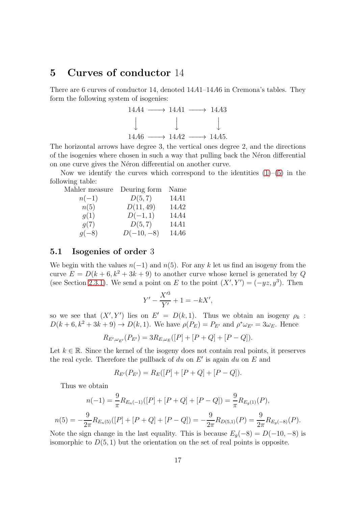# 5 Curves of conductor 14

There are 6 curves of conductor 14, denoted 14A1–14A6 in Cremona's tables. They form the following system of isogenies:



The horizontal arrows have degree 3, the vertical ones degree 2, and the directions of the isogenies where chosen in such a way that pulling back the Néron differential on one curve gives the Néron differential on another curve.

Now we identify the curves which correspond to the identities  $(1)$ – $(5)$  in the following table:

| Mahler measure | Deuring form | Name |
|----------------|--------------|------|
| $n(-1)$        | D(5, 7)      | 14A1 |
| n(5)           | D(11, 49)    | 14A2 |
| g(1)           | $D(-1,1)$    | 14A4 |
| q(7)           | D(5, 7)      | 14A1 |
| $g(-8)$        | $D(-10,-8)$  | 14A6 |

## 5.1 Isogenies of order 3

We begin with the values  $n(-1)$  and  $n(5)$ . For any k let us find an isogeny from the curve  $E = D(k+6, k^2+3k+9)$  to another curve whose kernel is generated by Q (see Section [2.3.1\)](#page-8-1). We send a point on E to the point  $(X', Y') = (-yz, y^3)$ . Then

$$
Y' - \frac{X'^3}{Y'} + 1 = -kX',
$$

so we see that  $(X', Y')$  lies on  $E' = D(k, 1)$ . Thus we obtain an isogeny  $\rho_k$ :  $D(k+6, k^2+3k+9) \to D(k, 1)$ . We have  $\rho(P_E) = P_{E'}$  and  $\rho^* \omega_{E'} = 3 \omega_E$ . Hence

$$
R_{E',\omega_{E'}}(P_{E'})=3R_{E,\omega_{E}}([P]+[P+Q]+[P-Q]).
$$

Let  $k \in \mathbb{R}$ . Since the kernel of the isogeny does not contain real points, it preserves the real cycle. Therefore the pullback of  $du$  on  $E'$  is again  $du$  on  $E$  and

$$
R_{E'}(P_{E'}) = R_E([P] + [P + Q] + [P - Q]).
$$

Thus we obtain

$$
n(-1) = \frac{9}{\pi} R_{E_n(-1)}([P] + [P + Q] + [P - Q]) = \frac{9}{\pi} R_{E_g(1)}(P),
$$
  

$$
n(5) = -\frac{9}{2\pi} R_{E_n(5)}([P] + [P + Q] + [P - Q]) = -\frac{9}{2\pi} R_{D(5,1)}(P) = \frac{9}{2\pi} R_{E_g(-8)}(P).
$$

Note the sign change in the last equality. This is because  $E_g(-8) = D(-10, -8)$  is isomorphic to  $D(5, 1)$  but the orientation on the set of real points is opposite.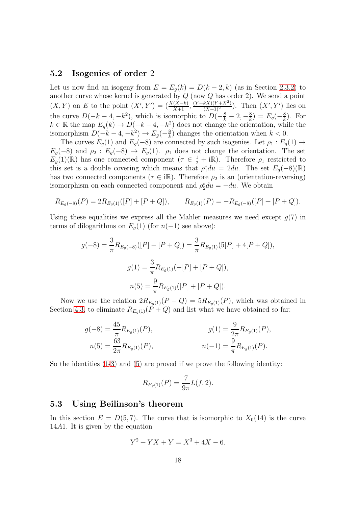## 5.2 Isogenies of order 2

Let us now find an isogeny from  $E = E_q(k) = D(k-2, k)$  (as in Section [2.3.2\)](#page-9-1) to another curve whose kernel is generated by  $Q$  (now  $Q$  has order 2). We send a point  $(X,Y)$  on E to the point  $(X',Y') = (\frac{X(X-k)}{X+1}, \frac{(Y+kX)(Y+X^2)}{(X+1)^2})$ . Then  $(X',Y')$  lies on the curve  $D(-k-4, -k^2)$ , which is isomorphic to  $D(-\frac{8}{k}-2, -\frac{8}{k})$  $(\frac{8}{k}) = E_g(-\frac{8}{k})$  $\frac{8}{k}$ ). For  $k \in \mathbb{R}$  the map  $E_g(k) \to D(-k-4, -k^2)$  does not change the orientation, while the isomorphism  $D(-k-4, -k^2) \rightarrow E_g(-\frac{8}{k})$  $\frac{8}{k}$ ) changes the orientation when  $k < 0$ .

The curves  $E_q(1)$  and  $E_q(-8)$  are connected by such isogenies. Let  $\rho_1 : E_q(1) \rightarrow$  $E_g(-8)$  and  $\rho_2 : E_g(-8) \to E_g(1)$ .  $\rho_1$  does not change the orientation. The set  $E_g(1)(\mathbb{R})$  has one connected component  $(\tau \in \frac{1}{2} + i\mathbb{R})$ . Therefore  $\rho_1$  restricted to this set is a double covering which means that  $\rho_1^* du = 2du$ . The set  $E_g(-8)(\mathbb{R})$ has two connected components ( $\tau \in i\mathbb{R}$ ). Therefore  $\rho_2$  is an (orientation-reversing) isomorphism on each connected component and  $\rho_2^* du = -du$ . We obtain

$$
R_{E_g(-8)}(P) = 2R_{E_g(1)}([P] + [P + Q]), \qquad R_{E_g(1)}(P) = -R_{E_g(-8)}([P] + [P + Q]).
$$

Using these equalities we express all the Mahler measures we need except  $g(7)$  in terms of dilogarithms on  $E_q(1)$  (for  $n(-1)$  see above):

$$
g(-8) = \frac{3}{\pi} R_{E_g(-8)}([P] - [P + Q]) = \frac{3}{\pi} R_{E_g(1)}(5[P] + 4[P + Q]),
$$
  

$$
g(1) = \frac{3}{\pi} R_{E_g(1)}(-[P] + [P + Q]),
$$
  

$$
n(5) = \frac{9}{\pi} R_{E_g(1)}([P] + [P + Q]).
$$

Now we use the relation  $2R_{E_q(1)}(P+Q) = 5R_{E_q(1)}(P)$ , which was obtained in Section [4.3,](#page-14-2) to eliminate  $R_{E_q(1)}(P+Q)$  and list what we have obtained so far:

$$
g(-8) = \frac{45}{\pi} R_{E_g(1)}(P),
$$
  
\n
$$
g(1) = \frac{9}{2\pi} R_{E_g(1)}(P),
$$
  
\n
$$
g(1) = \frac{9}{2\pi} R_{E_g(1)}(P),
$$
  
\n
$$
g(1) = \frac{9}{2\pi} R_{E_g(1)}(P),
$$
  
\n
$$
n(-1) = \frac{9}{\pi} R_{E_g(1)}(P).
$$

So the identities [\(1](#page-1-0)[-3\)](#page-1-2) and [\(5\)](#page-1-1) are proved if we prove the following identity:

$$
R_{E_g(1)}(P) = \frac{7}{9\pi}L(f,2).
$$

## 5.3 Using Beilinson's theorem

In this section  $E = D(5, 7)$ . The curve that is isomorphic to  $X_0(14)$  is the curve 14A1. It is given by the equation

$$
Y^2 + YX + Y = X^3 + 4X - 6.
$$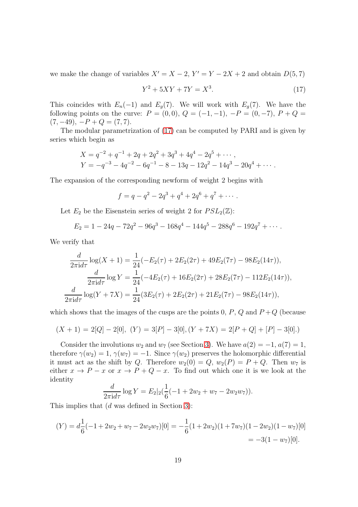we make the change of variables  $X' = X - 2$ ,  $Y' = Y - 2X + 2$  and obtain  $D(5, 7)$ 

<span id="page-18-0"></span>
$$
Y^2 + 5XY + 7Y = X^3.
$$
 (17)

This coincides with  $E_n(-1)$  and  $E_g(7)$ . We will work with  $E_g(7)$ . We have the following points on the curve:  $P = (0,0), Q = (-1,-1), -P = (0,-7), P + Q =$  $(7, -49), -P + Q = (7, 7).$ 

The modular parametrization of [\(17\)](#page-18-0) can be computed by PARI and is given by series which begin as

$$
X = q^{-2} + q^{-1} + 2q + 2q^{2} + 3q^{3} + 4q^{4} - 2q^{5} + \cdots,
$$
  
\n
$$
Y = -q^{-3} - 4q^{-2} - 6q^{-1} - 8 - 13q - 12q^{2} - 14q^{3} - 20q^{4} + \cdots.
$$

The expansion of the corresponding newform of weight 2 begins with

$$
f = q - q^2 - 2q^3 + q^4 + 2q^6 + q^7 + \cdots
$$

Let  $E_2$  be the Eisenstein series of weight 2 for  $PSL_2(\mathbb{Z})$ :

$$
E_2 = 1 - 24q - 72q^2 - 96q^3 - 168q^4 - 144q^5 - 288q^6 - 192q^7 + \cdots
$$

We verify that

$$
\frac{d}{2\pi i d\tau} \log(X+1) = \frac{1}{24} (-E_2(\tau) + 2E_2(2\tau) + 49E_2(7\tau) - 98E_2(14\tau)),
$$
  

$$
\frac{d}{2\pi i d\tau} \log Y = \frac{1}{24} (-4E_2(\tau) + 16E_2(2\tau) + 28E_2(7\tau) - 112E_2(14\tau)),
$$
  

$$
\frac{d}{2\pi i d\tau} \log(Y + 7X) = \frac{1}{24} (3E_2(\tau) + 2E_2(2\tau) + 21E_2(7\tau) - 98E_2(14\tau)),
$$

which shows that the images of the cusps are the points 0,  $P$ ,  $Q$  and  $P+Q$  (because

$$
(X + 1) = 2[Q] - 2[0], (Y) = 3[P] - 3[0], (Y + 7X) = 2[P + Q] + [P] - 3[0].)
$$

Consider the involutions  $w_2$  and  $w_7$  (see Section [3\)](#page-10-1). We have  $a(2) = -1, a(7) = 1$ , therefore  $\gamma(w_2) = 1, \gamma(w_7) = -1$ . Since  $\gamma(w_2)$  preserves the holomorphic differential it must act as the shift by Q. Therefore  $w_2(0) = Q$ ,  $w_2(P) = P + Q$ . Then  $w_7$  is either  $x \to P - x$  or  $x \to P + Q - x$ . To find out which one it is we look at the identity

$$
\frac{d}{2\pi i d\tau} \log Y = E_2|_2(\frac{1}{6}(-1+2w_2+w_7-2w_2w_7)).
$$

This implies that (d was defined in Section [3\)](#page-10-1):

$$
(Y) = d\frac{1}{6}(-1 + 2w_2 + w_7 - 2w_2w_7)[0] = -\frac{1}{6}(1 + 2w_2)(1 + 7w_7)(1 - 2w_2)(1 - w_7)[0] = -3(1 - w_7)[0].
$$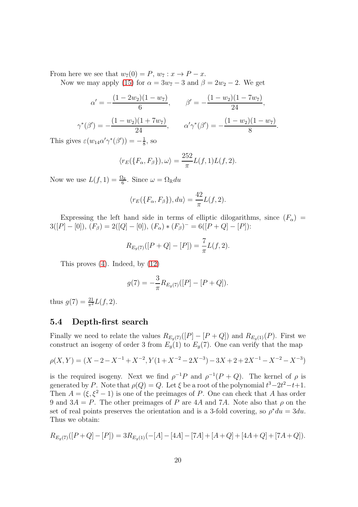From here we see that  $w_7(0) = P$ ,  $w_7 : x \to P - x$ .

Now we may apply [\(15\)](#page-12-2) for  $\alpha = 3w_7 - 3$  and  $\beta = 2w_2 - 2$ . We get

$$
\alpha' = -\frac{(1 - 2w_2)(1 - w_7)}{6}, \qquad \beta' = -\frac{(1 - w_2)(1 - 7w_7)}{24},
$$

$$
\gamma^*(\beta') = -\frac{(1 - w_2)(1 + 7w_7)}{24}, \qquad \alpha'\gamma^*(\beta') = -\frac{(1 - w_2)(1 - w_7)}{8}.
$$

This gives  $\varepsilon(w_{14}\alpha'\gamma^*(\beta')) = -\frac{1}{8}$  $\frac{1}{8}$ , so

$$
\langle r_E(\lbrace F_\alpha, F_\beta \rbrace), \omega \rangle = \frac{252}{\pi} L(f, 1) L(f, 2).
$$

Now we use  $L(f, 1) = \frac{\Omega_{\mathbb{R}}}{6}$ . Since  $\omega = \Omega_{\mathbb{R}} du$ 

$$
\langle r_E(\lbrace F_\alpha, F_\beta \rbrace), du \rangle = \frac{42}{\pi} L(f, 2).
$$

Expressing the left hand side in terms of elliptic dilogarithms, since  $(F_{\alpha})$  =  $3([P]-[0]), (F_{\beta})=2([Q]-[0]), (F_{\alpha})*(F_{\beta})^-=6([P+Q]-[P]).$ 

$$
R_{E_g(7)}([P+Q]-[P]) = \frac{7}{\pi}L(f,2).
$$

This proves [\(4\)](#page-1-3). Indeed, by [\(12\)](#page-9-2)

$$
g(7) = -\frac{3}{\pi} R_{E_g(7)}([P] - [P + Q]).
$$

thus  $g(7) = \frac{21}{\pi^2} L(f, 2)$ .

## 5.4 Depth-first search

Finally we need to relate the values  $R_{E_g(7)}([P] - [P+Q])$  and  $R_{E_g(1)}(P)$ . First we construct an isogeny of order 3 from  $E_g(1)$  to  $E_g(7)$ . One can verify that the map

$$
\rho(X,Y) = (X - 2 - X^{-1} + X^{-2}, Y(1 + X^{-2} - 2X^{-3}) - 3X + 2 + 2X^{-1} - X^{-2} - X^{-3})
$$

is the required isogeny. Next we find  $\rho^{-1}P$  and  $\rho^{-1}(P+Q)$ . The kernel of  $\rho$  is generated by P. Note that  $\rho(Q) = Q$ . Let  $\xi$  be a root of the polynomial  $t^3 - 2t^2 - t + 1$ . Then  $A = (\xi, \xi^2 - 1)$  is one of the preimages of P. One can check that A has order 9 and  $3A = P$ . The other preimages of P are 4A and 7A. Note also that  $\rho$  on the set of real points preserves the orientation and is a 3-fold covering, so  $\rho^* du = 3du$ . Thus we obtain:

$$
R_{E_g(7)}([P+Q]-[P]) = 3R_{E_g(1)}(-[A]-[4A]-[7A]+[A+Q]+[4A+Q]+[7A+Q]).
$$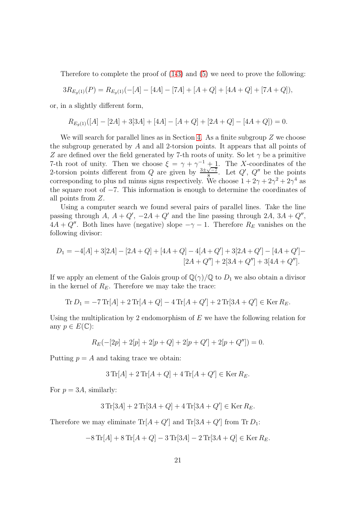Therefore to complete the proof of [\(1-](#page-1-0)[3\)](#page-1-2) and [\(5\)](#page-1-1) we need to prove the following:

$$
3R_{E_g(1)}(P) = R_{E_g(1)}(-[A] - [4A] - [7A] + [A + Q] + [4A + Q] + [7A + Q]),
$$

or, in a slightly different form,

$$
R_{E_g(1)}([A] - [2A] + 3[3A] + [4A] - [A + Q] + [2A + Q] - [4A + Q]) = 0.
$$

We will search for parallel lines as in Section [4.](#page-12-3) As a finite subgroup  $Z$  we choose the subgroup generated by A and all 2-torsion points. It appears that all points of Z are defined over the field generated by 7-th roots of unity. So let  $\gamma$  be a primitive 7-th root of unity. Then we choose  $\xi = \gamma + \gamma^{-1} + 1$ . The X-coordinates of the 2-torsion points different from Q are given by  $\frac{3\pm\sqrt{-7}}{8}$ . Let Q', Q'' be the points corresponding to plus nd minus signs respectively. We choose  $1 + 2\gamma + 2\gamma^2 + 2\gamma^4$  as the square root of −7. This information is enough to determine the coordinates of all points from Z.

Using a computer search we found several pairs of parallel lines. Take the line passing through  $A, A + Q', -2A + Q'$  and the line passing through  $2A, 3A + Q''$ ,  $4A + Q''$ . Both lines have (negative) slope  $-\gamma - 1$ . Therefore  $R_E$  vanishes on the following divisor:

$$
D_1 = -4[A] + 3[2A] - [2A + Q] + [4A + Q] - 4[A + Q'] + 3[2A + Q'] - [4A + Q'] - [2A + Q''] + 2[3A + Q''] + 3[4A + Q''].
$$

If we apply an element of the Galois group of  $\mathbb{Q}(\gamma)/\mathbb{Q}$  to  $D_1$  we also obtain a divisor in the kernel of  $R_E$ . Therefore we may take the trace:

$$
\text{Tr}\,D_1 = -7\,\text{Tr}[A] + 2\,\text{Tr}[A + Q] - 4\,\text{Tr}[A + Q'] + 2\,\text{Tr}[3A + Q'] \in \text{Ker}\,R_E.
$$

Using the multiplication by 2 endomorphism of  $E$  we have the following relation for any  $p \in E(\mathbb{C})$ :

$$
R_E(-[2p]+2[p]+2[p+Q]+2[p+Q'] + 2[p+Q'']) = 0.
$$

Putting  $p = A$  and taking trace we obtain:

$$
3\operatorname{Tr}[A] + 2\operatorname{Tr}[A + Q] + 4\operatorname{Tr}[A + Q'] \in \operatorname{Ker} R_E.
$$

For  $p = 3A$ , similarly:

$$
3\,\text{Tr}[3A] + 2\,\text{Tr}[3A + Q] + 4\,\text{Tr}[3A + Q'] \in \text{Ker } R_E.
$$

Therefore we may eliminate  $\text{Tr}[A + Q']$  and  $\text{Tr}[3A + Q']$  from  $\text{Tr } D_1$ :

$$
-8\operatorname{Tr}[A] + 8\operatorname{Tr}[A+Q] - 3\operatorname{Tr}[3A] - 2\operatorname{Tr}[3A+Q] \in \operatorname{Ker} R_E.
$$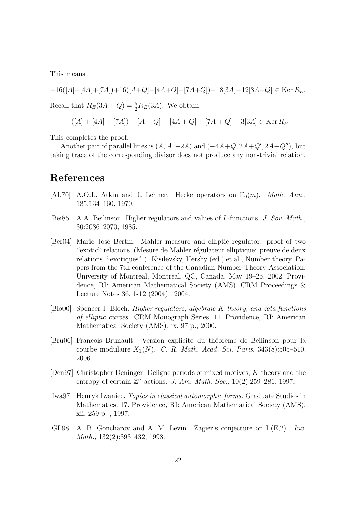This means

$$
-16([A]+[4A]+[7A])+16([A+Q]+[4A+Q]+[7A+Q])-18[3A]-12[3A+Q] \in \operatorname{Ker} R_E.
$$

Recall that  $R_E(3A + Q) = \frac{5}{2}R_E(3A)$ . We obtain

$$
-([A] + [4A] + [7A]) + [A + Q] + [4A + Q] + [7A + Q] - 3[3A] \in \text{Ker } R_E.
$$

This completes the proof.

Another pair of parallel lines is  $(A, A, -2A)$  and  $(-4A+Q, 2A+Q', 2A+Q'')$ , but taking trace of the corresponding divisor does not produce any non-trivial relation.

# References

- <span id="page-21-5"></span>[AL70] A.O.L. Atkin and J. Lehner. Hecke operators on  $\Gamma_0(m)$ . Math. Ann., 185:134–160, 1970.
- <span id="page-21-1"></span>[Bei85] A.A. Beilinson. Higher regulators and values of L-functions. J. Sov. Math., 30:2036–2070, 1985.
- <span id="page-21-3"></span>[Ber04] Marie Jos´e Bertin. Mahler measure and elliptic regulator: proof of two "exotic" relations. (Mesure de Mahler régulateur elliptique: preuve de deux relations " exotiques".). Kisilevsky, Hershy (ed.) et al., Number theory. Papers from the 7th conference of the Canadian Number Theory Association, University of Montreal, Montreal, QC, Canada, May 19–25, 2002. Providence, RI: American Mathematical Society (AMS). CRM Proceedings & Lecture Notes 36, 1-12 (2004)., 2004.
- <span id="page-21-2"></span>[Blo00] Spencer J. Bloch. Higher regulators, algebraic K-theory, and zeta functions of elliptic curves. CRM Monograph Series. 11. Providence, RI: American Mathematical Society (AMS). ix, 97 p., 2000.
- <span id="page-21-7"></span>[Bru06] François Brunault. Version explicite du théorème de Beilinson pour la courbe modulaire  $X_1(N)$ . C. R. Math. Acad. Sci. Paris, 343(8):505–510, 2006.
- <span id="page-21-0"></span>[Den97] Christopher Deninger. Deligne periods of mixed motives, K-theory and the entropy of certain  $\mathbb{Z}^n$ -actions. J. Am. Math. Soc., 10(2):259–281, 1997.
- <span id="page-21-6"></span>[Iwa97] Henryk Iwaniec. Topics in classical automorphic forms. Graduate Studies in Mathematics. 17. Providence, RI: American Mathematical Society (AMS). xii, 259 p. , 1997.
- <span id="page-21-4"></span>[GL98] A. B. Goncharov and A. M. Levin. Zagier's conjecture on L(E,2). Inv. Math., 132(2):393–432, 1998.